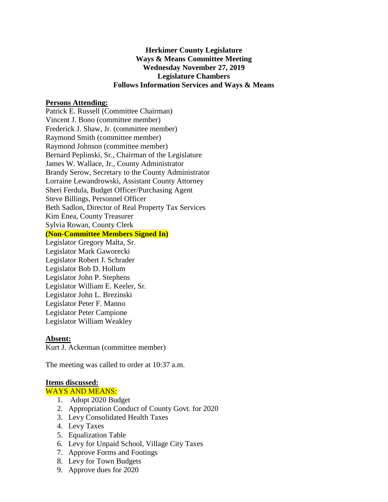# **Herkimer County Legislature Ways & Means Committee Meeting Wednesday November 27, 2019 Legislature Chambers Follows Information Services and Ways & Means**

#### **Persons Attending:**

Patrick E. Russell (Committee Chairman) Vincent J. Bono (committee member) Frederick J. Shaw, Jr. (committee member) Raymond Smith (committee member) Raymond Johnson (committee member) Bernard Peplinski, Sr., Chairman of the Legislature James W. Wallace, Jr., County Administrator Brandy Serow, Secretary to the County Administrator Lorraine Lewandrowski, Assistant County Attorney Sheri Ferdula, Budget Officer/Purchasing Agent Steve Billings, Personnel Officer Beth Sadlon, Director of Real Property Tax Services Kim Enea, County Treasurer Sylvia Rowan, County Clerk **(Non-Committee Members Signed In)** Legislator Gregory Malta, Sr. Legislator Mark Gaworecki

Legislator Robert J. Schrader Legislator Bob D. Hollum Legislator John P. Stephens Legislator William E. Keeler, Sr. Legislator John L. Brezinski Legislator Peter F. Manno Legislator Peter Campione Legislator William Weakley

#### **Absent:**

Kurt J. Ackerman (committee member)

The meeting was called to order at 10:37 a.m.

#### **Items discussed:**

WAYS AND MEANS:

- 1. Adopt 2020 Budget
- 2. Appropriation Conduct of County Govt. for 2020
- 3. Levy Consolidated Health Taxes
- 4. Levy Taxes
- 5. Equalization Table
- 6. Levy for Unpaid School, Village City Taxes
- 7. Approve Forms and Footings
- 8. Levy for Town Budgets
- 9. Approve dues for 2020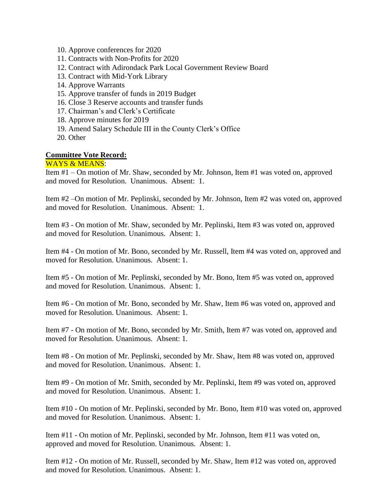- 10. Approve conferences for 2020
- 11. Contracts with Non-Profits for 2020
- 12. Contract with Adirondack Park Local Government Review Board
- 13. Contract with Mid-York Library
- 14. Approve Warrants
- 15. Approve transfer of funds in 2019 Budget
- 16. Close 3 Reserve accounts and transfer funds
- 17. Chairman's and Clerk's Certificate
- 18. Approve minutes for 2019
- 19. Amend Salary Schedule III in the County Clerk's Office
- 20. Other

## **Committee Vote Record:**

### WAYS & MEANS:

Item #1 – On motion of Mr. Shaw, seconded by Mr. Johnson, Item #1 was voted on, approved and moved for Resolution. Unanimous. Absent: 1.

Item #2 –On motion of Mr. Peplinski, seconded by Mr. Johnson, Item #2 was voted on, approved and moved for Resolution. Unanimous. Absent: 1.

Item #3 - On motion of Mr. Shaw, seconded by Mr. Peplinski, Item #3 was voted on, approved and moved for Resolution. Unanimous. Absent: 1.

Item #4 - On motion of Mr. Bono, seconded by Mr. Russell, Item #4 was voted on, approved and moved for Resolution. Unanimous. Absent: 1.

Item #5 - On motion of Mr. Peplinski, seconded by Mr. Bono, Item #5 was voted on, approved and moved for Resolution. Unanimous. Absent: 1.

Item #6 - On motion of Mr. Bono, seconded by Mr. Shaw, Item #6 was voted on, approved and moved for Resolution. Unanimous. Absent: 1.

Item #7 - On motion of Mr. Bono, seconded by Mr. Smith, Item #7 was voted on, approved and moved for Resolution. Unanimous. Absent: 1.

Item #8 - On motion of Mr. Peplinski, seconded by Mr. Shaw, Item #8 was voted on, approved and moved for Resolution. Unanimous. Absent: 1.

Item #9 - On motion of Mr. Smith, seconded by Mr. Peplinski, Item #9 was voted on, approved and moved for Resolution. Unanimous. Absent: 1.

Item #10 - On motion of Mr. Peplinski, seconded by Mr. Bono, Item #10 was voted on, approved and moved for Resolution. Unanimous. Absent: 1.

Item #11 - On motion of Mr. Peplinski, seconded by Mr. Johnson, Item #11 was voted on, approved and moved for Resolution. Unanimous. Absent: 1.

Item #12 - On motion of Mr. Russell, seconded by Mr. Shaw, Item #12 was voted on, approved and moved for Resolution. Unanimous. Absent: 1.